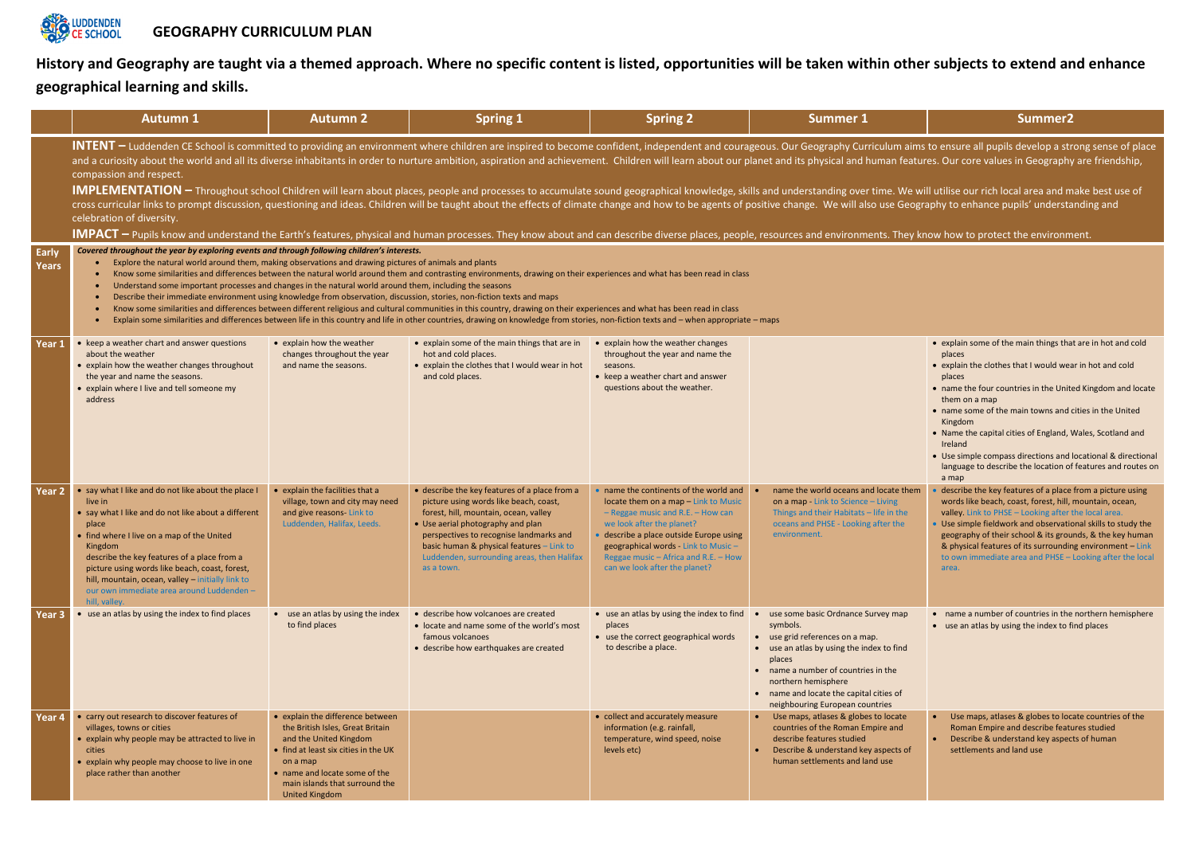**History and Geography are taught via a themed approach. Where no specific content is listed, opportunities will be taken within other subjects to extend and enhance geographical learning and skills.** 

|                   | <b>Autumn 1</b>                                                                                                                                                                                                                                                                                                                                                                                                                                                                                                                                                                                                                                                                                                                                                                                                                                                                                                                                                                                                                                                                                                                                                                              | <b>Autumn 2</b>                                                                                                                                                                                                                                | <b>Spring 1</b>                                                                                                                                                                                                                                                                                                           | <b>Spring 2</b>                                                                                                                                                                                                                                                                                                      | <b>Summer 1</b>                                                                                                                                                                                                                                                                      | Summer <sub>2</sub>                                                                                                                                                                                                                                                                                                                                          |  |  |  |  |
|-------------------|----------------------------------------------------------------------------------------------------------------------------------------------------------------------------------------------------------------------------------------------------------------------------------------------------------------------------------------------------------------------------------------------------------------------------------------------------------------------------------------------------------------------------------------------------------------------------------------------------------------------------------------------------------------------------------------------------------------------------------------------------------------------------------------------------------------------------------------------------------------------------------------------------------------------------------------------------------------------------------------------------------------------------------------------------------------------------------------------------------------------------------------------------------------------------------------------|------------------------------------------------------------------------------------------------------------------------------------------------------------------------------------------------------------------------------------------------|---------------------------------------------------------------------------------------------------------------------------------------------------------------------------------------------------------------------------------------------------------------------------------------------------------------------------|----------------------------------------------------------------------------------------------------------------------------------------------------------------------------------------------------------------------------------------------------------------------------------------------------------------------|--------------------------------------------------------------------------------------------------------------------------------------------------------------------------------------------------------------------------------------------------------------------------------------|--------------------------------------------------------------------------------------------------------------------------------------------------------------------------------------------------------------------------------------------------------------------------------------------------------------------------------------------------------------|--|--|--|--|
|                   | INTENT – Luddenden CE School is committed to providing an environment where children are inspired to become confident, independent and courageous. Our Geography Curriculum aims to ensure all pupils develop a str<br>and a curiosity about the world and all its diverse inhabitants in order to nurture ambition, aspiration and achievement. Children will learn about our planet and its physical and human features. Our core values in Geograp<br>compassion and respect.<br>IMPLEMENTATION - Throughout school Children will learn about places, people and processes to accumulate sound geographical knowledge, skills and understanding over time. We will utilise our rich local area and m<br>cross curricular links to prompt discussion, questioning and ideas. Children will be taught about the effects of climate change and how to be agents of positive change. We will also use Geography to enhance pupils' underst<br>celebration of diversity.<br>IMPACT – Pupils know and understand the Earth's features, physical and human processes. They know about and can describe diverse places, people, resources and environments. They know how to protect the environm |                                                                                                                                                                                                                                                |                                                                                                                                                                                                                                                                                                                           |                                                                                                                                                                                                                                                                                                                      |                                                                                                                                                                                                                                                                                      |                                                                                                                                                                                                                                                                                                                                                              |  |  |  |  |
| Early<br>Years    | Covered throughout the year by exploring events and through following children's interests.<br>Explore the natural world around them, making observations and drawing pictures of animals and plants<br>Know some similarities and differences between the natural world around them and contrasting environments, drawing on their experiences and what has been read in class<br>Understand some important processes and changes in the natural world around them, including the seasons<br>Describe their immediate environment using knowledge from observation, discussion, stories, non-fiction texts and maps<br>Know some similarities and differences between different religious and cultural communities in this country, drawing on their experiences and what has been read in class<br>Explain some similarities and differences between life in this country and life in other countries, drawing on knowledge from stories, non-fiction texts and - when appropriate - maps                                                                                                                                                                                                  |                                                                                                                                                                                                                                                |                                                                                                                                                                                                                                                                                                                           |                                                                                                                                                                                                                                                                                                                      |                                                                                                                                                                                                                                                                                      |                                                                                                                                                                                                                                                                                                                                                              |  |  |  |  |
| Year 1            | • keep a weather chart and answer questions<br>about the weather<br>• explain how the weather changes throughout<br>the year and name the seasons.<br>• explain where I live and tell someone my<br>address                                                                                                                                                                                                                                                                                                                                                                                                                                                                                                                                                                                                                                                                                                                                                                                                                                                                                                                                                                                  | • explain how the weather<br>changes throughout the year<br>and name the seasons.                                                                                                                                                              | • explain some of the main things that are in<br>hot and cold places.<br>• explain the clothes that I would wear in hot<br>and cold places.                                                                                                                                                                               | • explain how the weather changes<br>throughout the year and name the<br>seasons.<br>• keep a weather chart and answer<br>questions about the weather.                                                                                                                                                               |                                                                                                                                                                                                                                                                                      | • explain some of the main things tha<br>places<br>• explain the clothes that I would wea<br>places<br>• name the four countries in the Unite<br>them on a map<br>• name some of the main towns and<br>Kingdom<br>• Name the capital cities of England, \<br>Ireland<br>• Use simple compass directions and<br>language to describe the location of<br>a map |  |  |  |  |
| Year <sub>2</sub> | • say what I like and do not like about the place I<br>live in<br>• say what I like and do not like about a different<br>place<br>• find where I live on a map of the United<br>Kingdom<br>describe the key features of a place from a<br>picture using words like beach, coast, forest,<br>hill, mountain, ocean, valley - initially link to<br>our own immediate area around Luddenden -<br>hill, valley.                                                                                                                                                                                                                                                                                                                                                                                                                                                                                                                                                                                                                                                                                                                                                                                  | • explain the facilities that a<br>village, town and city may need<br>and give reasons- Link to<br>Luddenden, Halifax, Leeds.                                                                                                                  | • describe the key features of a place from a<br>picture using words like beach, coast,<br>forest, hill, mountain, ocean, valley<br>• Use aerial photography and plan<br>perspectives to recognise landmarks and<br>basic human & physical features - Link to<br>Luddenden, surrounding areas, then Halifax<br>as a town. | • name the continents of the world and<br>locate them on a map - Link to Music<br>$-$ Reggae music and R.E. $-$ How can<br>we look after the planet?<br>· describe a place outside Europe using<br>geographical words - Link to Music -<br>Reggae music $-$ Africa and R.E. $-$ How<br>can we look after the planet? | name the world oceans and locate them<br>on a map - Link to Science - Living<br>Things and their Habitats - life in the<br>oceans and PHSE - Looking after the<br>environment.                                                                                                       | describe the key features of a place<br>words like beach, coast, forest, hill,<br>valley Link to PHSE - Looking after t<br>• Use simple fieldwork and observation<br>geography of their school & its grou<br>& physical features of its surroundir<br>to own immediate area and PHSE $-$<br>area.                                                            |  |  |  |  |
| Year 3            | • use an atlas by using the index to find places                                                                                                                                                                                                                                                                                                                                                                                                                                                                                                                                                                                                                                                                                                                                                                                                                                                                                                                                                                                                                                                                                                                                             | • use an atlas by using the index<br>to find places                                                                                                                                                                                            | • describe how volcanoes are created<br>• locate and name some of the world's most<br>famous volcanoes<br>• describe how earthquakes are created                                                                                                                                                                          | • use an atlas by using the index to find<br>places<br>• use the correct geographical words<br>to describe a place.                                                                                                                                                                                                  | use some basic Ordnance Survey map<br>symbols.<br>• use grid references on a map.<br>• use an atlas by using the index to find<br>places<br>• name a number of countries in the<br>northern hemisphere<br>• name and locate the capital cities of<br>neighbouring European countries | • name a number of countries in the<br>• use an atlas by using the index to fi                                                                                                                                                                                                                                                                               |  |  |  |  |
| Year 4            | • carry out research to discover features of<br>villages, towns or cities<br>• explain why people may be attracted to live in<br>cities<br>• explain why people may choose to live in one<br>place rather than another                                                                                                                                                                                                                                                                                                                                                                                                                                                                                                                                                                                                                                                                                                                                                                                                                                                                                                                                                                       | • explain the difference between<br>the British Isles, Great Britain<br>and the United Kingdom<br>• find at least six cities in the UK<br>on a map<br>• name and locate some of the<br>main islands that surround the<br><b>United Kingdom</b> |                                                                                                                                                                                                                                                                                                                           | • collect and accurately measure<br>information (e.g. rainfall,<br>temperature, wind speed, noise<br>levels etc)                                                                                                                                                                                                     | • Use maps, atlases & globes to locate<br>countries of the Roman Empire and<br>describe features studied<br>Describe & understand key aspects of<br>$\bullet$<br>human settlements and land use                                                                                      | Use maps, atlases & globes to loc<br>Roman Empire and describe featu<br>Describe & understand key aspec<br>settlements and land use                                                                                                                                                                                                                          |  |  |  |  |

n aims to ensure all pupils develop a strong sense of place  $^{\dagger}$ features. Our core values in Geography are friendship,

We will utilise our rich local area and make best use of Geography to enhance pupils' understanding and

hey know how to protect the environment.

| them    | • explain some of the main things that are in hot and cold<br>places<br>• explain the clothes that I would wear in hot and cold<br>places<br>• name the four countries in the United Kingdom and locate<br>them on a map<br>• name some of the main towns and cities in the United<br>Kingdom<br>• Name the capital cities of England, Wales, Scotland and<br>Ireland<br>• Use simple compass directions and locational & directional<br>language to describe the location of features and routes on<br>a map<br>• describe the key features of a place from a picture using |
|---------|------------------------------------------------------------------------------------------------------------------------------------------------------------------------------------------------------------------------------------------------------------------------------------------------------------------------------------------------------------------------------------------------------------------------------------------------------------------------------------------------------------------------------------------------------------------------------|
| ie<br>è | words like beach, coast, forest, hill, mountain, ocean,<br>valley. Link to PHSE - Looking after the local area.<br>Use simple fieldwork and observational skills to study the<br>geography of their school & its grounds, & the key human<br>& physical features of its surrounding environment - Link<br>to own immediate area and PHSE - Looking after the local<br>area.                                                                                                                                                                                                  |
| p<br>d  | name a number of countries in the northern hemisphere<br>use an atlas by using the index to find places                                                                                                                                                                                                                                                                                                                                                                                                                                                                      |
| e<br>οf | Use maps, atlases & globes to locate countries of the<br>Roman Empire and describe features studied<br>Describe & understand key aspects of human<br>settlements and land use                                                                                                                                                                                                                                                                                                                                                                                                |